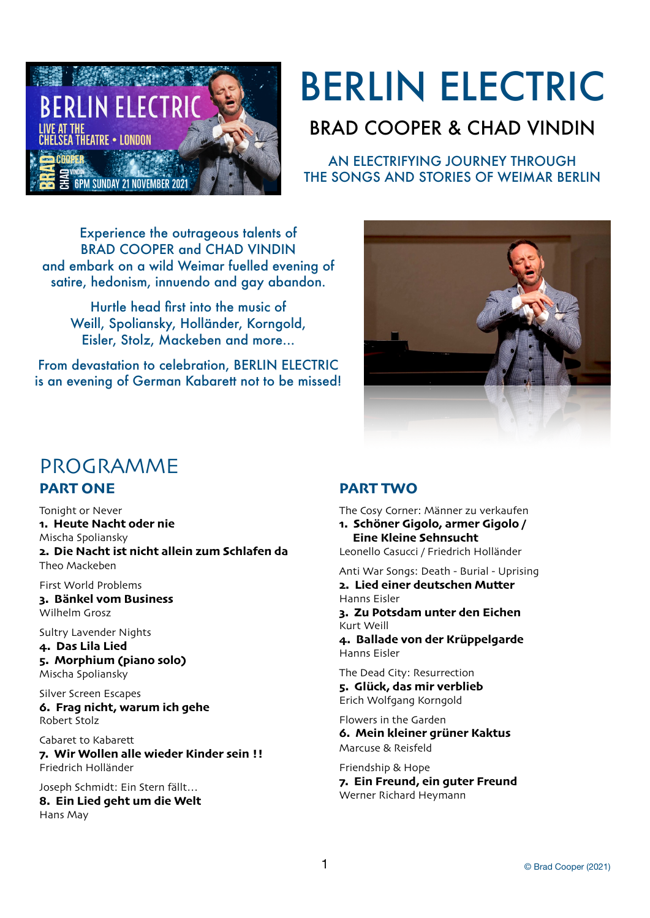

# BERLIN ELECTRIC

# BRAD COOPER & CHAD VINDIN

AN ELECTRIFYING JOURNEY THROUGH THE SONGS AND STORIES OF WEIMAR BERLIN

Experience the outrageous talents of BRAD COOPER and CHAD VINDIN and embark on a wild Weimar fuelled evening of satire, hedonism, innuendo and gay abandon.

Hurtle head first into the music of Weill, Spoliansky, Holländer, Korngold, Eisler, Stolz, Mackeben and more...

From devastation to celebration, BERLIN ELECTRIC is an evening of German Kabarett not to be missed!



# PROGRAMME

# **PART ONE**

Tonight or Never **1. Heute Nacht oder nie**  Mischa Spoliansky **2. Die Nacht ist nicht allein zum Schlafen da**  Theo Mackeben

First World Problems

**3. Bänkel vom Business**  Wilhelm Grosz

Sultry Lavender Nights

**4. Das Lila Lied** 

**5. Morphium (piano solo)** Mischa Spoliansky

Silver Screen Escapes **6. Frag nicht, warum ich gehe**  Robert Stolz

Cabaret to Kabarett

**7. Wir Wollen alle wieder Kinder sein !!**  Friedrich Holländer

Joseph Schmidt: Ein Stern fällt… **8. Ein Lied geht um die Welt** Hans May

# **PART TWO**

The Cosy Corner: Männer zu verkaufen

**1. Schöner Gigolo, armer Gigolo / Eine Kleine Sehnsucht**

Leonello Casucci / Friedrich Holländer

Anti War Songs: Death - Burial - Uprising **2. Lied einer deutschen Mutter**  Hanns Eisler **3. Zu Potsdam unter den Eichen**  Kurt Weill **4. Ballade von der Krüppelgarde**  Hanns Eisler

The Dead City: Resurrection **5. Glück, das mir verblieb**  Erich Wolfgang Korngold

Flowers in the Garden **6. Mein kleiner grüner Kaktus**  Marcuse & Reisfeld

Friendship & Hope **7. Ein Freund, ein guter Freund**  Werner Richard Heymann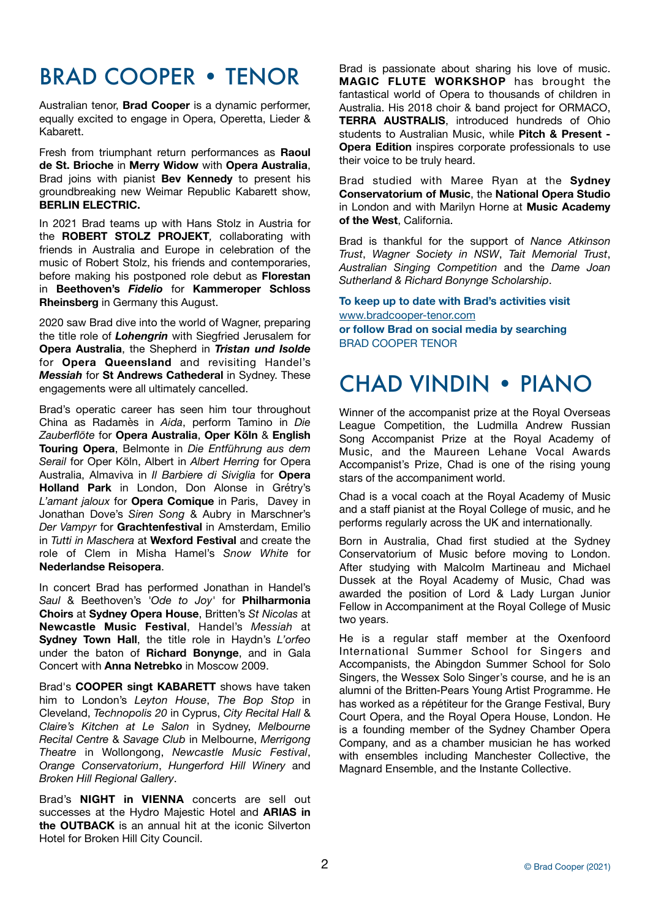# BRAD COOPER • TENOR

Australian tenor, **Brad Cooper** is a dynamic performer, equally excited to engage in Opera, Operetta, Lieder & Kabarett.

Fresh from triumphant return performances as **Raoul de St. Brioche** in **Merry Widow** with **Opera Australia**, Brad joins with pianist **Bev Kennedy** to present his groundbreaking new Weimar Republic Kabarett show, **BERLIN ELECTRIC.**

In 2021 Brad teams up with Hans Stolz in Austria for the **ROBERT STOLZ PROJEKT***,* collaborating with friends in Australia and Europe in celebration of the music of Robert Stolz, his friends and contemporaries, before making his postponed role debut as **Florestan** in **Beethoven's** *Fidelio* for **Kammeroper Schloss Rheinsberg** in Germany this August.

2020 saw Brad dive into the world of Wagner, preparing the title role of *Lohengrin* with Siegfried Jerusalem for **Opera Australia**, the Shepherd in *Tristan und Isolde* for **Opera Queensland** and revisiting Handel's *Messiah* for **St Andrews Cathederal** in Sydney. These engagements were all ultimately cancelled.

Brad's operatic career has seen him tour throughout China as Radamès in *Aida*, perform Tamino in *Die Zauberflöte* for **Opera Australia**, **Oper Köln** & **English Touring Opera**, Belmonte in *Die Entführung aus dem Serail* for Oper Köln, Albert in *Albert Herring* for Opera Australia, Almaviva in *Il Barbiere di Siviglia* for **Opera Holland Park** in London, Don Alonse in Grétry's *L'amant jaloux* for **Opera Comique** in Paris, Davey in Jonathan Dove's *Siren Song* & Aubry in Marschner's *Der Vampyr* for **Grachtenfestival** in Amsterdam, Emilio in *Tutti in Maschera* at **Wexford Festival** and create the role of Clem in Misha Hamel's *Snow White* for **Nederlandse Reisopera**.

In concert Brad has performed Jonathan in Handel's *Saul* & Beethoven's *'Ode to Joy'* for **Philharmonia Choirs** at **Sydney Opera House**, Britten's *St Nicolas* at **Newcastle Music Festival**, Handel's *Messiah* at **Sydney Town Hall**, the title role in Haydn's *L'orfeo* under the baton of **Richard Bonynge**, and in Gala Concert with **Anna Netrebko** in Moscow 2009.

Brad's **COOPER singt KABARETT** shows have taken him to London's *Leyton House*, *The Bop Stop* in Cleveland, *Technopolis 20* in Cyprus, *City Recital Hall* & *Claire's Kitchen at Le Salon* in Sydney, *Melbourne Recital Centre* & *Savage Club* in Melbourne, *Merrigong Theatre* in Wollongong, *Newcastle Music Festival*, *Orange Conservatorium*, *Hungerford Hill Winery* and *Broken Hill Regional Gallery*.

Brad's **NIGHT in VIENNA** concerts are sell out successes at the Hydro Majestic Hotel and **ARIAS in the OUTBACK** is an annual hit at the iconic Silverton Hotel for Broken Hill City Council.

Brad is passionate about sharing his love of music. **MAGIC FLUTE WORKSHOP** has brought the fantastical world of Opera to thousands of children in Australia. His 2018 choir & band project for ORMACO, **TERRA AUSTRALIS**, introduced hundreds of Ohio students to Australian Music, while **Pitch & Present - Opera Edition** inspires corporate professionals to use their voice to be truly heard.

Brad studied with Maree Ryan at the **Sydney Conservatorium of Music**, the **National Opera Studio** in London and with Marilyn Horne at **Music Academy of the West**, California.

Brad is thankful for the support of *Nance Atkinson Trust*, *Wagner Society in NSW*, *Tait Memorial Trust*, *Australian Singing Competition* and the *Dame Joan Sutherland & Richard Bonynge Scholarship*.

**To keep up to date with Brad's activities visit**  [www.bradcooper-tenor.com](http://www.bradcooper-tenor.com)  **or follow Brad on social media by searching** BRAD COOPER TENOR

# CHAD VINDIN • PIANO

Winner of the accompanist prize at the Royal Overseas League Competition, the Ludmilla Andrew Russian Song Accompanist Prize at the Royal Academy of Music, and the Maureen Lehane Vocal Awards Accompanist's Prize, Chad is one of the rising young stars of the accompaniment world.

Chad is a vocal coach at the Royal Academy of Music and a staff pianist at the Royal College of music, and he performs regularly across the UK and internationally.

Born in Australia, Chad first studied at the Sydney Conservatorium of Music before moving to London. After studying with Malcolm Martineau and Michael Dussek at the Royal Academy of Music, Chad was awarded the position of Lord & Lady Lurgan Junior Fellow in Accompaniment at the Royal College of Music two years.

He is a regular staff member at the Oxenfoord International Summer School for Singers and Accompanists, the Abingdon Summer School for Solo Singers, the Wessex Solo Singer's course, and he is an alumni of the Britten-Pears Young Artist Programme. He has worked as a répétiteur for the Grange Festival, Bury Court Opera, and the Royal Opera House, London. He is a founding member of the Sydney Chamber Opera Company, and as a chamber musician he has worked with ensembles including Manchester Collective, the Magnard Ensemble, and the Instante Collective.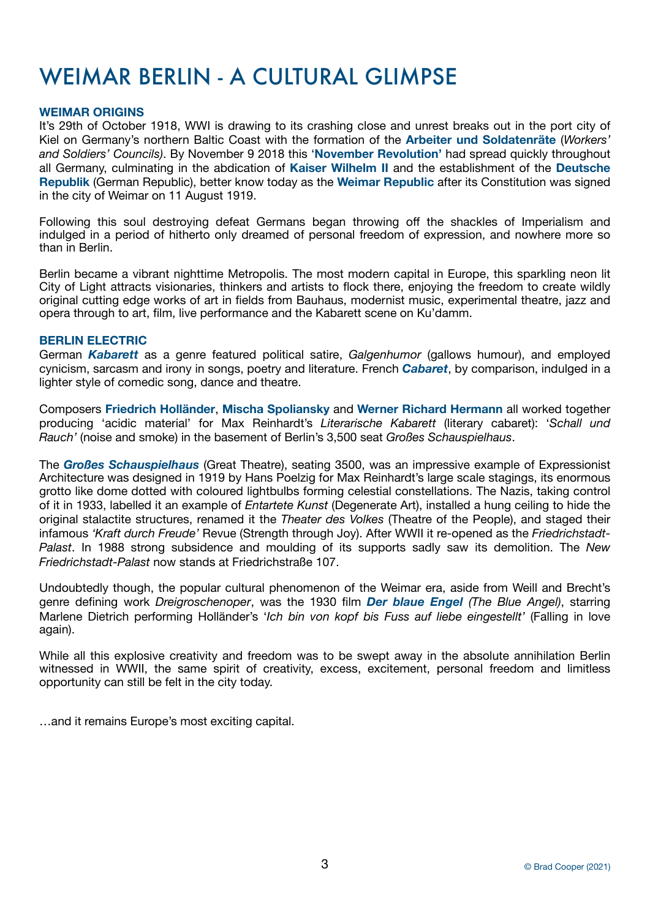# WEIMAR BERLIN - A CULTURAL GLIMPSE

# **WEIMAR ORIGINS**

It's 29th of October 1918, WWI is drawing to its crashing close and unrest breaks out in the port city of Kiel on Germany's northern Baltic Coast with the formation of the **Arbeiter und Soldatenräte** (*Workers' and Soldiers' Councils)*. By November 9 2018 this '**November Revolution'** had spread quickly throughout all Germany, culminating in the abdication of **Kaiser Wilhelm II** and the establishment of the **Deutsche Republik** (German Republic), better know today as the **Weimar Republic** after its Constitution was signed in the city of Weimar on 11 August 1919.

Following this soul destroying defeat Germans began throwing off the shackles of Imperialism and indulged in a period of hitherto only dreamed of personal freedom of expression, and nowhere more so than in Berlin.

Berlin became a vibrant nighttime Metropolis. The most modern capital in Europe, this sparkling neon lit City of Light attracts visionaries, thinkers and artists to flock there, enjoying the freedom to create wildly original cutting edge works of art in fields from Bauhaus, modernist music, experimental theatre, jazz and opera through to art, film, live performance and the Kabarett scene on Ku'damm.

# **BERLIN ELECTRIC**

German *Kabarett* as a genre featured political satire, *Galgenhumor* (gallows humour), and employed cynicism, sarcasm and irony in songs, poetry and literature. French *Cabaret*, by comparison, indulged in a lighter style of comedic song, dance and theatre.

Composers **Friedrich Holländer**, **Mischa Spoliansky** and **Werner Richard Hermann** all worked together producing 'acidic material' for Max Reinhardt's *Literarische Kabarett* (literary cabaret): '*Schall und Rauch'* (noise and smoke) in the basement of Berlin's 3,500 seat *Großes Schauspielhaus*.

The *Großes Schauspielhaus* (Great Theatre), seating 3500, was an impressive example of Expressionist Architecture was designed in 1919 by Hans Poelzig for Max Reinhardt's large scale stagings, its enormous grotto like dome dotted with coloured lightbulbs forming celestial constellations. The Nazis, taking control of it in 1933, labelled it an example of *Entartete Kunst* (Degenerate Art), installed a hung ceiling to hide the original stalactite structures, renamed it the *Theater des Volkes* (Theatre of the People), and staged their infamous *'Kraft durch Freude'* Revue (Strength through Joy). After WWII it re-opened as the *Friedrichstadt-Palast*. In 1988 strong subsidence and moulding of its supports sadly saw its demolition. The *New Friedrichstadt-Palast* now stands at Friedrichstraße 107.

Undoubtedly though, the popular cultural phenomenon of the Weimar era, aside from Weill and Brecht's genre defining work *Dreigroschenoper*, was the 1930 film *Der blaue Engel (The Blue Angel)*, starring Marlene Dietrich performing Holländer's '*Ich bin von kopf bis Fuss auf liebe eingestellt'* (Falling in love again).

While all this explosive creativity and freedom was to be swept away in the absolute annihilation Berlin witnessed in WWII, the same spirit of creativity, excess, excitement, personal freedom and limitless opportunity can still be felt in the city today.

…and it remains Europe's most exciting capital.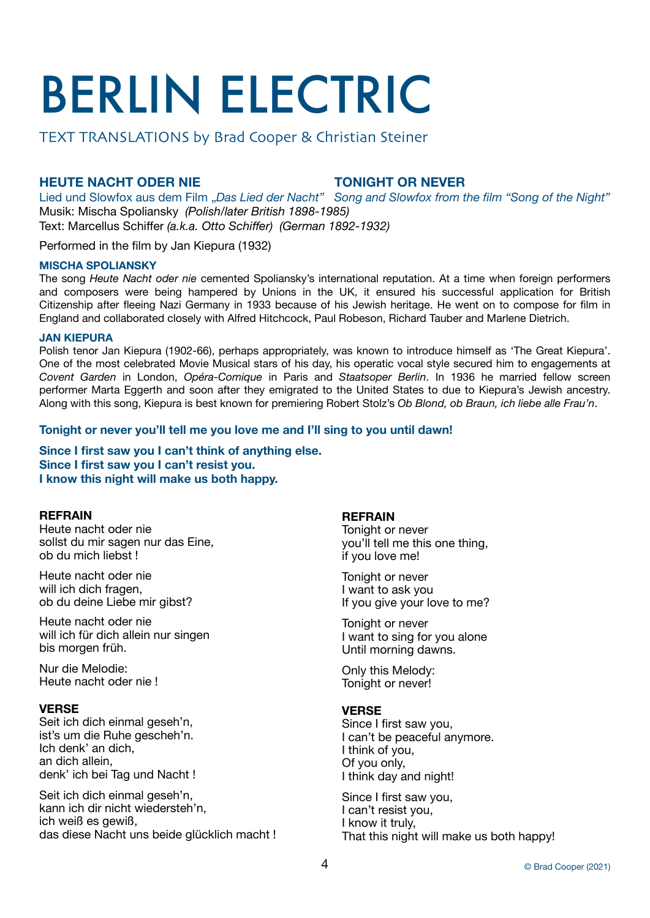# BERLIN ELECTRIC

TEXT TRANSLATIONS by Brad Cooper & Christian Steiner

# **HEUTE NACHT ODER NIE TONIGHT OR NEVER**

Lied und Slowfox aus dem Film "Das Lied der Nacht" Song and Slowfox from the film "Song of the Night" Musik: Mischa Spoliansky *(Polish/later British 1898-1985)*

Text: Marcellus Schiffer *(a.k.a. Otto Schiffer) (German 1892-1932)*

Performed in the film by Jan Kiepura (1932)

# **MISCHA SPOLIANSKY**

The song *Heute Nacht oder nie* cemented Spoliansky's international reputation. At a time when foreign performers and composers were being hampered by Unions in the UK, it ensured his successful application for British Citizenship after fleeing Nazi Germany in 1933 because of his Jewish heritage. He went on to compose for film in England and collaborated closely with Alfred Hitchcock, Paul Robeson, Richard Tauber and Marlene Dietrich.

# **JAN KIEPURA**

Polish tenor Jan Kiepura (1902-66), perhaps appropriately, was known to introduce himself as 'The Great Kiepura'. One of the most celebrated Movie Musical stars of his day, his operatic vocal style secured him to engagements at *Covent Garden* in London, *Opéra-Comique* in Paris and *Staatsoper Berlin*. In 1936 he married fellow screen performer Marta Eggerth and soon after they emigrated to the United States to due to Kiepura's Jewish ancestry. Along with this song, Kiepura is best known for premiering Robert Stolz's *Ob Blond, ob Braun, ich liebe alle Frau'n*.

# **Tonight or never you'll tell me you love me and I'll sing to you until dawn!**

**Since I first saw you I can't think of anything else. Since I first saw you I can't resist you. I know this night will make us both happy.**

# **REFRAIN**

Heute nacht oder nie sollst du mir sagen nur das Eine, ob du mich liebst !

Heute nacht oder nie will ich dich fragen, ob du deine Liebe mir gibst?

Heute nacht oder nie will ich für dich allein nur singen bis morgen früh.

Nur die Melodie: Heute nacht oder nie !

# **VERSE**

Seit ich dich einmal geseh'n, ist's um die Ruhe gescheh'n. Ich denk' an dich, an dich allein, denk' ich bei Tag und Nacht !

Seit ich dich einmal geseh'n, kann ich dir nicht wiedersteh'n, ich weiß es gewiß, das diese Nacht uns beide glücklich macht !

# **REFRAIN**

Tonight or never you'll tell me this one thing, if you love me!

Tonight or never I want to ask you If you give your love to me?

Tonight or never I want to sing for you alone Until morning dawns.

Only this Melody: Tonight or never!

# **VERSE**

Since I first saw you, I can't be peaceful anymore. I think of you, Of you only, I think day and night!

Since I first saw you, I can't resist you, I know it truly, That this night will make us both happy!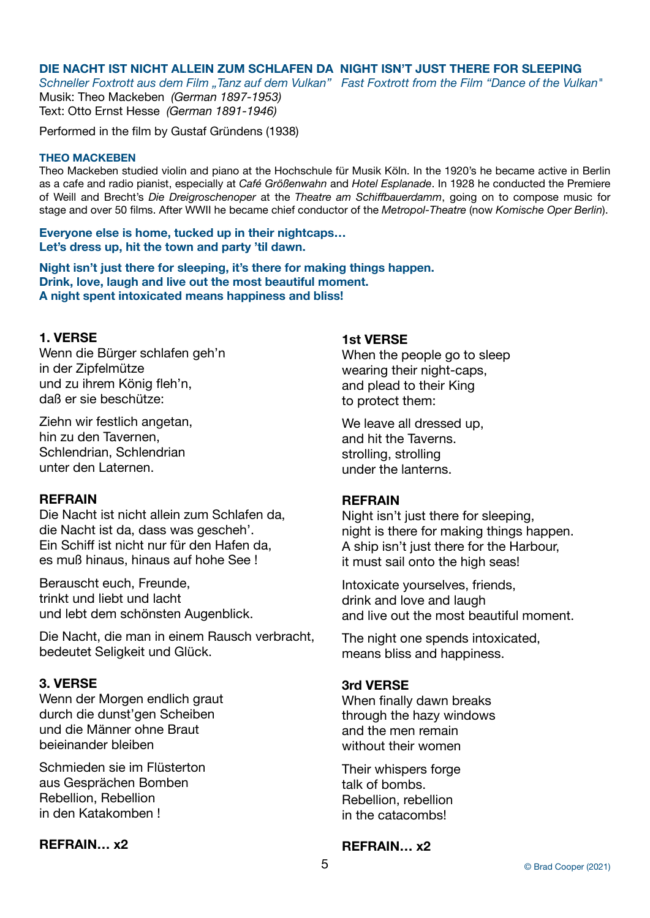# **DIE NACHT IST NICHT ALLEIN ZUM SCHLAFEN DA NIGHT ISN'T JUST THERE FOR SLEEPING**

*Schneller Foxtrott aus dem Film "Tanz auf dem Vulkan" Fast Foxtrott from the Film "Dance of the Vulkan"* Musik: Theo Mackeben *(German 1897-1953)*

Text: Otto Ernst Hesse *(German 1891-1946)*

Performed in the film by Gustaf Gründens (1938)

# **THEO MACKEBEN**

Theo Mackeben studied violin and piano at the Hochschule für Musik Köln. In the 1920's he became active in Berlin as a cafe and radio pianist, especially at *Café Größenwahn* and *Hotel Esplanade*. In 1928 he conducted the Premiere of Weill and Brecht's *Die Dreigroschenoper* at the *Theatre am Schiffbauerdamm*, going on to compose music for stage and over 50 films. After WWII he became chief conductor of the *Metropol-Theatre* (now *Komische Oper Berlin*).

**Everyone else is home, tucked up in their nightcaps… Let's dress up, hit the town and party 'til dawn.** 

**Night isn't just there for sleeping, it's there for making things happen. Drink, love, laugh and live out the most beautiful moment. A night spent intoxicated means happiness and bliss!**

# **1. VERSE**

Wenn die Bürger schlafen geh'n in der Zipfelmütze und zu ihrem König fleh'n, daß er sie beschütze:

Ziehn wir festlich angetan, hin zu den Tavernen, Schlendrian, Schlendrian unter den Laternen.

# **REFRAIN**

Die Nacht ist nicht allein zum Schlafen da, die Nacht ist da, dass was gescheh'. Ein Schiff ist nicht nur für den Hafen da, es muß hinaus, hinaus auf hohe See !

Berauscht euch, Freunde, trinkt und liebt und lacht und lebt dem schönsten Augenblick.

Die Nacht, die man in einem Rausch verbracht, bedeutet Seligkeit und Glück.

# **3. VERSE**

Wenn der Morgen endlich graut durch die dunst'gen Scheiben und die Männer ohne Braut beieinander bleiben

Schmieden sie im Flüsterton aus Gesprächen Bomben Rebellion, Rebellion in den Katakomben !

# **REFRAIN… x2**

# **1st VERSE**

When the people go to sleep wearing their night-caps, and plead to their King to protect them:

We leave all dressed up, and hit the Taverns. strolling, strolling under the lanterns.

# **REFRAIN**

Night isn't just there for sleeping, night is there for making things happen. A ship isn't just there for the Harbour, it must sail onto the high seas!

Intoxicate yourselves, friends, drink and love and laugh and live out the most beautiful moment.

The night one spends intoxicated. means bliss and happiness.

# **3rd VERSE**

When finally dawn breaks through the hazy windows and the men remain without their women

Their whispers forge talk of bombs. Rebellion, rebellion in the catacombs!

# **REFRAIN… x2**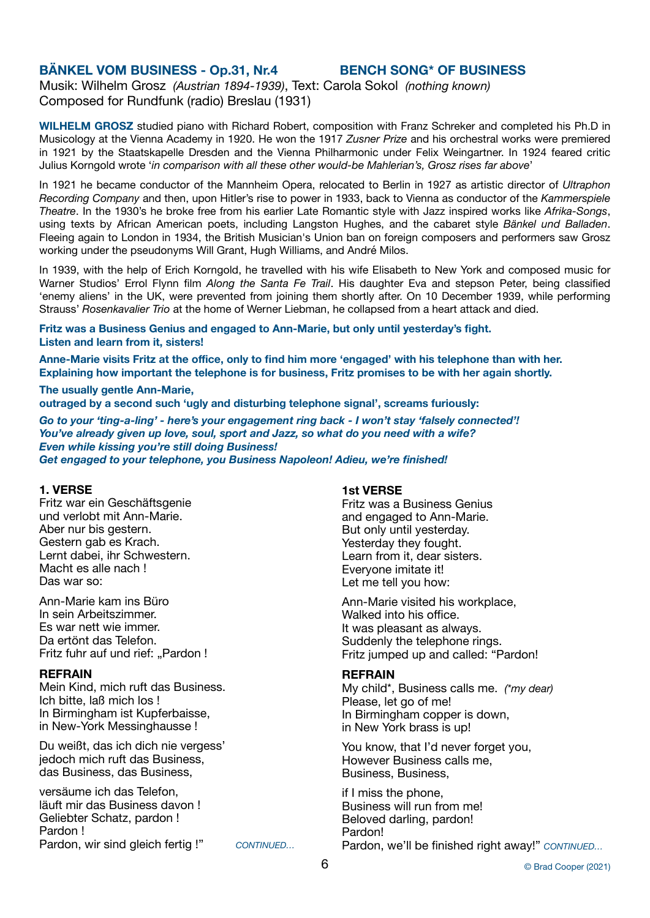# **BÄNKEL VOM BUSINESS - Op.31, Nr.4 BENCH SONG\* OF BUSINESS**

Musik: Wilhelm Grosz *(Austrian 1894-1939)*, Text: Carola Sokol *(nothing known)* Composed for Rundfunk (radio) Breslau (1931)

**WILHELM GROSZ** studied piano with Richard Robert, composition with Franz Schreker and completed his Ph.D in Musicology at the Vienna Academy in 1920. He won the 1917 *Zusner Prize* and his orchestral works were premiered in 1921 by the Staatskapelle Dresden and the Vienna Philharmonic under Felix Weingartner. In 1924 feared critic Julius Korngold wrote '*in comparison with all these other would-be Mahlerian's, Grosz rises far above*'

In 1921 he became conductor of the Mannheim Opera, relocated to Berlin in 1927 as artistic director of *Ultraphon Recording Company* and then, upon Hitler's rise to power in 1933, back to Vienna as conductor of the *Kammerspiele Theatre*. In the 1930's he broke free from his earlier Late Romantic style with Jazz inspired works like *Afrika-Songs*, using texts by African American poets, including Langston Hughes, and the cabaret style *Bänkel und Balladen*. Fleeing again to London in 1934, the British Musician's Union ban on foreign composers and performers saw Grosz working under the pseudonyms Will Grant, Hugh Williams, and André Milos.

In 1939, with the help of Erich Korngold, he travelled with his wife Elisabeth to New York and composed music for Warner Studios' Errol Flynn film *Along the Santa Fe Trail*. His daughter Eva and stepson Peter, being classified 'enemy aliens' in the UK, were prevented from joining them shortly after. On 10 December 1939, while performing Strauss' *Rosenkavalier Trio* at the home of Werner Liebman, he collapsed from a heart attack and died.

**Fritz was a Business Genius and engaged to Ann-Marie, but only until yesterday's fight. Listen and learn from it, sisters!** 

**Anne-Marie visits Fritz at the office, only to find him more 'engaged' with his telephone than with her. Explaining how important the telephone is for business, Fritz promises to be with her again shortly.** 

## **The usually gentle Ann-Marie,**

**outraged by a second such 'ugly and disturbing telephone signal', screams furiously:** 

*Go to your 'ting-a-ling' - here's your engagement ring back - I won't stay 'falsely connected'! You've already given up love, soul, sport and Jazz, so what do you need with a wife? Even while kissing you're still doing Business! Get engaged to your telephone, you Business Napoleon! Adieu, we're finished!*

### **1. VERSE**

Fritz war ein Geschäftsgenie und verlobt mit Ann-Marie. Aber nur bis gestern. Gestern gab es Krach. Lernt dabei, ihr Schwestern. Macht es alle nach ! Das war so:

Ann-Marie kam ins Büro In sein Arbeitszimmer. Es war nett wie immer. Da ertönt das Telefon. Fritz fuhr auf und rief: "Pardon!

## **REFRAIN**

Mein Kind, mich ruft das Business. Ich bitte, laß mich los ! In Birmingham ist Kupferbaisse, in New-York Messinghausse !

Du weißt, das ich dich nie vergess' jedoch mich ruft das Business, das Business, das Business,

versäume ich das Telefon, läuft mir das Business davon ! Geliebter Schatz, pardon ! Pardon ! Pardon, wir sind gleich fertig !" CONTINUED...

# **1st VERSE**

Fritz was a Business Genius and engaged to Ann-Marie. But only until yesterday. Yesterday they fought. Learn from it, dear sisters. Everyone imitate it! Let me tell you how:

Ann-Marie visited his workplace, Walked into his office. It was pleasant as always. Suddenly the telephone rings. Fritz jumped up and called: "Pardon!

# **REFRAIN**

My child\*, Business calls me. *(\*my dear)* Please, let go of me! In Birmingham copper is down, in New York brass is up!

You know, that I'd never forget you, However Business calls me, Business, Business,

if I miss the phone, Business will run from me! Beloved darling, pardon! Pardon! Pardon, we'll be finished right away!" *CONTINUED…*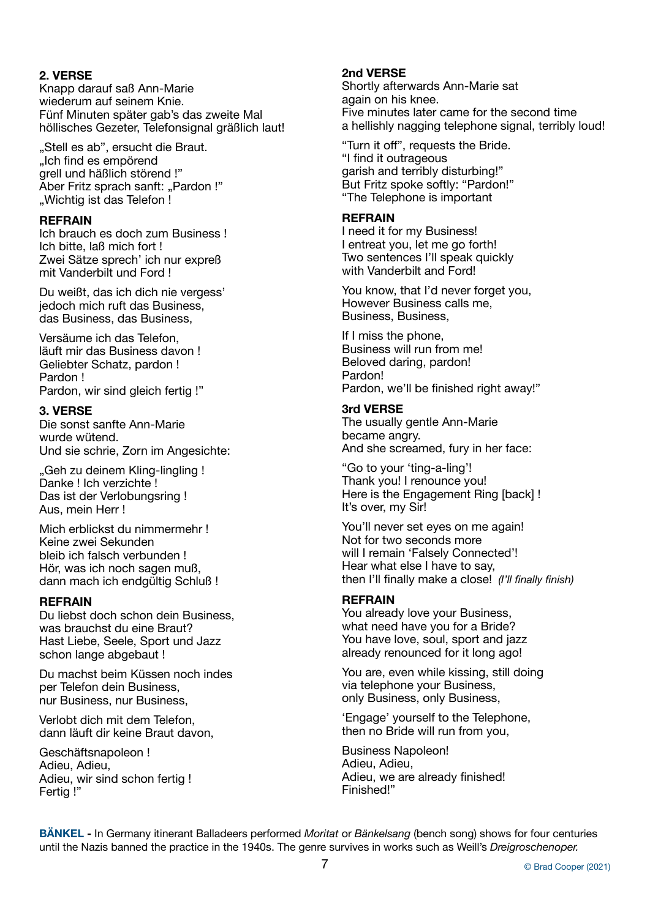# **2. VERSE**

Knapp darauf saß Ann-Marie wiederum auf seinem Knie. Fünf Minuten später gab's das zweite Mal höllisches Gezeter, Telefonsignal gräßlich laut!

"Stell es ab", ersucht die Braut. "Ich find es empörend grell und häßlich störend !" Aber Fritz sprach sanft: "Pardon!" . Wichtig ist das Telefon!

# **REFRAIN**

Ich brauch es doch zum Business ! Ich bitte, laß mich fort ! Zwei Sätze sprech' ich nur expreß mit Vanderbilt und Ford !

Du weißt, das ich dich nie vergess' jedoch mich ruft das Business, das Business, das Business,

Versäume ich das Telefon, läuft mir das Business davon ! Geliebter Schatz, pardon ! Pardon ! Pardon, wir sind gleich fertig !"

# **3. VERSE**

Die sonst sanfte Ann-Marie wurde wütend. Und sie schrie, Zorn im Angesichte:

"Geh zu deinem Kling-lingling ! Danke ! Ich verzichte ! Das ist der Verlobungsring ! Aus, mein Herr !

Mich erblickst du nimmermehr ! Keine zwei Sekunden bleib ich falsch verbunden ! Hör, was ich noch sagen muß, dann mach ich endgültig Schluß !

# **REFRAIN**

Du liebst doch schon dein Business, was brauchst du eine Braut? Hast Liebe, Seele, Sport und Jazz schon lange abgebaut !

Du machst beim Küssen noch indes per Telefon dein Business, nur Business, nur Business,

Verlobt dich mit dem Telefon, dann läuft dir keine Braut davon,

Geschäftsnapoleon ! Adieu, Adieu, Adieu, wir sind schon fertig ! Fertig !"

# **2nd VERSE**

Shortly afterwards Ann-Marie sat again on his knee. Five minutes later came for the second time a hellishly nagging telephone signal, terribly loud!

"Turn it off", requests the Bride. "I find it outrageous garish and terribly disturbing!" But Fritz spoke softly: "Pardon!" "The Telephone is important

# **REFRAIN**

I need it for my Business! I entreat you, let me go forth! Two sentences I'll speak quickly with Vanderbilt and Ford!

You know, that I'd never forget you, However Business calls me, Business, Business,

If I miss the phone, Business will run from me! Beloved daring, pardon! Pardon! Pardon, we'll be finished right away!"

# **3rd VERSE**

The usually gentle Ann-Marie became angry. And she screamed, fury in her face:

"Go to your 'ting-a-ling'! Thank you! I renounce you! Here is the Engagement Ring [back] ! It's over, my Sir!

You'll never set eyes on me again! Not for two seconds more will I remain 'Falsely Connected'! Hear what else I have to say, then I'll finally make a close! *(I'll finally finish)*

# **REFRAIN**

You already love your Business, what need have you for a Bride? You have love, soul, sport and jazz already renounced for it long ago!

You are, even while kissing, still doing via telephone your Business, only Business, only Business,

'Engage' yourself to the Telephone, then no Bride will run from you,

Business Napoleon! Adieu, Adieu, Adieu, we are already finished! Finished!"

**BÄNKEL -** In Germany itinerant Balladeers performed *Moritat* or *Bänkelsang* (bench song) shows for four centuries until the Nazis banned the practice in the 1940s. The genre survives in works such as Weill's *Dreigroschenoper.*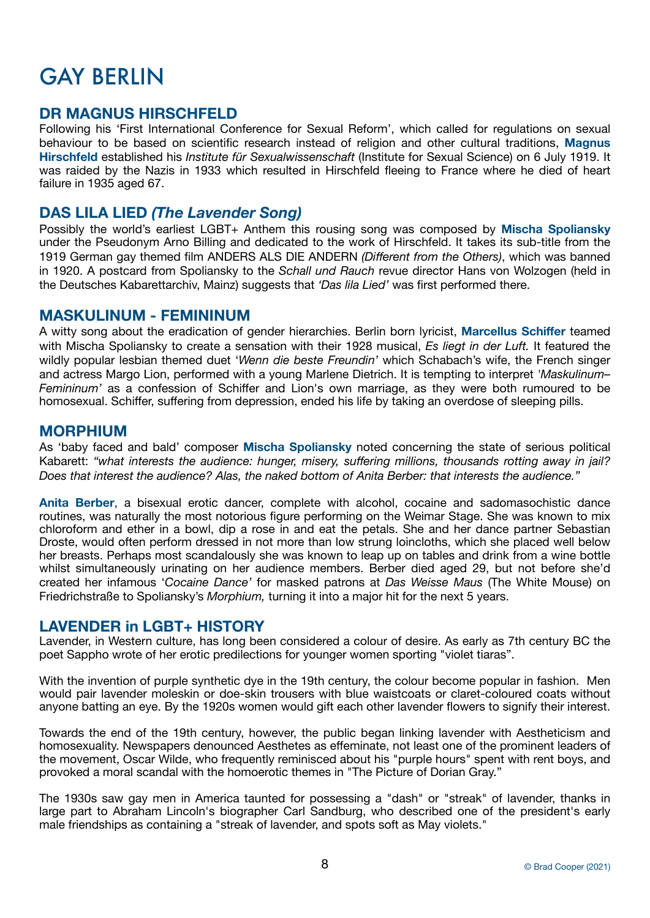# GAY BERLIN

# **DR MAGNUS HIRSCHFELD**

Following his 'First International Conference for Sexual Reform', which called for regulations on sexual behaviour to be based on scientific research instead of religion and other cultural traditions, **Magnus Hirschfeld** established his *Institute für Sexualwissenschaft* (Institute for Sexual Science) on 6 July 1919. It was raided by the Nazis in 1933 which resulted in Hirschfeld fleeing to France where he died of heart failure in 1935 aged 67.

# **DAS LILA LIED** *(The Lavender Song)*

Possibly the world's earliest LGBT+ Anthem this rousing song was composed by **Mischa Spoliansky** under the Pseudonym Arno Billing and dedicated to the work of Hirschfeld. It takes its sub-title from the 1919 German gay themed film ANDERS ALS DIE ANDERN *(Different from the Others)*, which was banned in 1920. A postcard from Spoliansky to the *Schall und Rauch* revue director Hans von Wolzogen (held in the Deutsches Kabarettarchiv, Mainz) suggests that *'Das lila Lied'* was first performed there.

# **MASKULINUM - FEMININUM**

A witty song about the eradication of gender hierarchies. Berlin born lyricist, **Marcellus Schiffer** teamed with Mischa Spoliansky to create a sensation with their 1928 musical, *Es liegt in der Luft.* It featured the wildly popular lesbian themed duet '*Wenn die beste Freundin'* which Schabach's wife, the French singer and actress Margo Lion, performed with a young Marlene Dietrich. It is tempting to interpret *'Maskulinum– Femininum'* as a confession of Schiffer and Lion's own marriage, as they were both rumoured to be homosexual. Schiffer, suffering from depression, ended his life by taking an overdose of sleeping pills.

# **MORPHIUM**

As 'baby faced and bald' composer **Mischa Spoliansky** noted concerning the state of serious political Kabarett: *"what interests the audience: hunger, misery, suffering millions, thousands rotting away in jail? Does that interest the audience? Alas, the naked bottom of Anita Berber: that interests the audience."*

**Anita Berber**, a bisexual erotic dancer, complete with alcohol, cocaine and sadomasochistic dance routines, was naturally the most notorious figure performing on the Weimar Stage. She was known to mix chloroform and ether in a bowl, dip a rose in and eat the petals. She and her dance partner Sebastian Droste, would often perform dressed in not more than low strung loincloths, which she placed well below her breasts. Perhaps most scandalously she was known to leap up on tables and drink from a wine bottle whilst simultaneously urinating on her audience members. Berber died aged 29, but not before she'd created her infamous '*Cocaine Dance'* for masked patrons at *Das Weisse Maus* (The White Mouse) on Friedrichstraße to Spoliansky's *Morphium,* turning it into a major hit for the next 5 years.

# **LAVENDER in LGBT+ HISTORY**

Lavender, in Western culture, has long been considered a colour of desire. As early as 7th century BC the poet Sappho wrote of her erotic predilections for younger women sporting "violet tiaras".

With the invention of purple synthetic dye in the 19th century, the colour become popular in fashion. Men would pair lavender moleskin or doe-skin trousers with blue waistcoats or claret-coloured coats without anyone batting an eye. By the 1920s women would gift each other lavender flowers to signify their interest.

Towards the end of the 19th century, however, the public began linking lavender with Aestheticism and homosexuality. Newspapers denounced Aesthetes as effeminate, not least one of the prominent leaders of the movement, Oscar Wilde, who frequently reminisced about his "purple hours" spent with rent boys, and provoked a moral scandal with the homoerotic themes in "The Picture of Dorian Gray."

The 1930s saw gay men in America taunted for possessing a "dash" or "streak" of lavender, thanks in large part to Abraham Lincoln's biographer Carl Sandburg, who described one of the president's early male friendships as containing a "streak of lavender, and spots soft as May violets."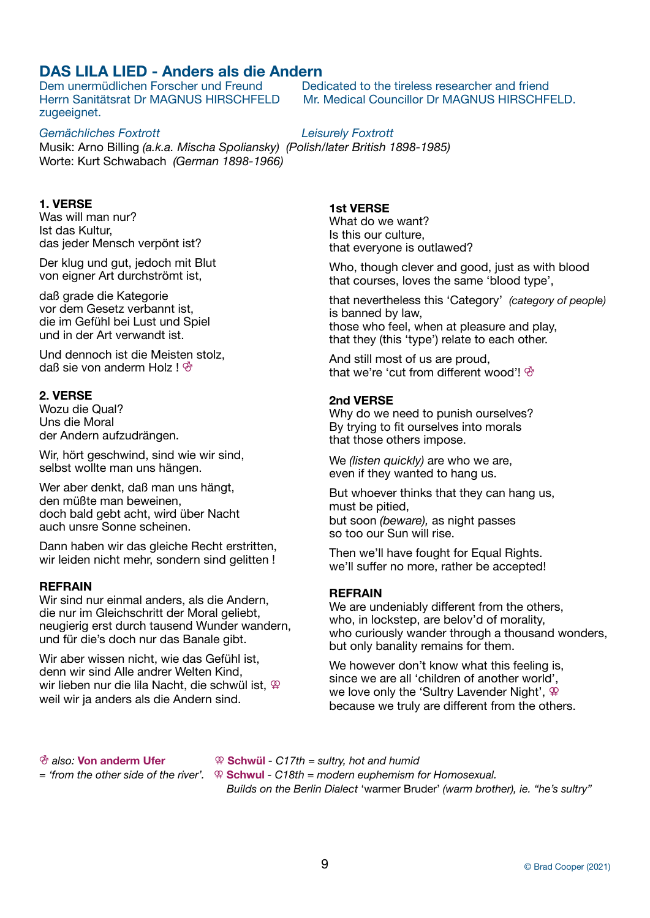# **DAS LILA LIED - Anders als die Andern**

Dem unermüdlichen Forscher und Freund Dedicated to the tireless researcher and friend Herrn Sanitätsrat Dr MAGNUS HIRSCHFELD Mr. Medical Councillor Dr MAGNUS HIRSCHFELD. zugeeignet.

Gemächliches Foxtrott **by** *Cemächliches Foxtrott* Musik: Arno Billing *(a.k.a. Mischa Spoliansky) (Polish/later British 1898-1985)* Worte: Kurt Schwabach *(German 1898-1966)*

# **1. VERSE**

Was will man nur? Ist das Kultur, das jeder Mensch verpönt ist?

Der klug und gut, jedoch mit Blut von eigner Art durchströmt ist,

daß grade die Kategorie vor dem Gesetz verbannt ist, die im Gefühl bei Lust und Spiel und in der Art verwandt ist.

Und dennoch ist die Meisten stolz, daß sie von anderm Holz ! ⚣

# **2. VERSE**

Wozu die Qual? Uns die Moral der Andern aufzudrängen.

Wir, hört geschwind, sind wie wir sind, selbst wollte man uns hängen.

Wer aber denkt, daß man uns hängt, den müßte man beweinen, doch bald gebt acht, wird über Nacht auch unsre Sonne scheinen.

Dann haben wir das gleiche Recht erstritten, wir leiden nicht mehr, sondern sind gelitten !

# **REFRAIN**

Wir sind nur einmal anders, als die Andern, die nur im Gleichschritt der Moral geliebt, neugierig erst durch tausend Wunder wandern, und für die's doch nur das Banale gibt.

Wir aber wissen nicht, wie das Gefühl ist, denn wir sind Alle andrer Welten Kind, wir lieben nur die lila Nacht, die schwül ist,  $\mathcal{P}$ weil wir ja anders als die Andern sind.

**1st VERSE** 

What do we want? Is this our culture, that everyone is outlawed?

Who, though clever and good, just as with blood that courses, loves the same 'blood type',

that nevertheless this 'Category' *(category of people)* is banned by law, those who feel, when at pleasure and play, that they (this 'type') relate to each other.

And still most of us are proud, that we're 'cut from different wood'! ⚣

# **2nd VERSE**

Why do we need to punish ourselves? By trying to fit ourselves into morals that those others impose.

We *(listen quickly)* are who we are, even if they wanted to hang us.

But whoever thinks that they can hang us, must be pitied, but soon *(beware),* as night passes so too our Sun will rise.

Then we'll have fought for Equal Rights. we'll suffer no more, rather be accepted!

# **REFRAIN**

We are undeniably different from the others, who, in lockstep, are belov'd of morality. who curiously wander through a thousand wonders, but only banality remains for them.

We however don't know what this feeling is, since we are all 'children of another world', we love only the 'Sultry Lavender Night',  $\mathcal{P}$ because we truly are different from the others.

⚣ *also:* **Von anderm Ufer**⚢ **Schwül** *- C17th = sultry, hot and humid* 

*= 'from the other side of the river'.* ⚢ **Schwul** *- C18th = modern euphemism for Homosexual.* 

 *Builds on the Berlin Dialect* 'warmer Bruder' *(warm brother), ie. "he's sultry"*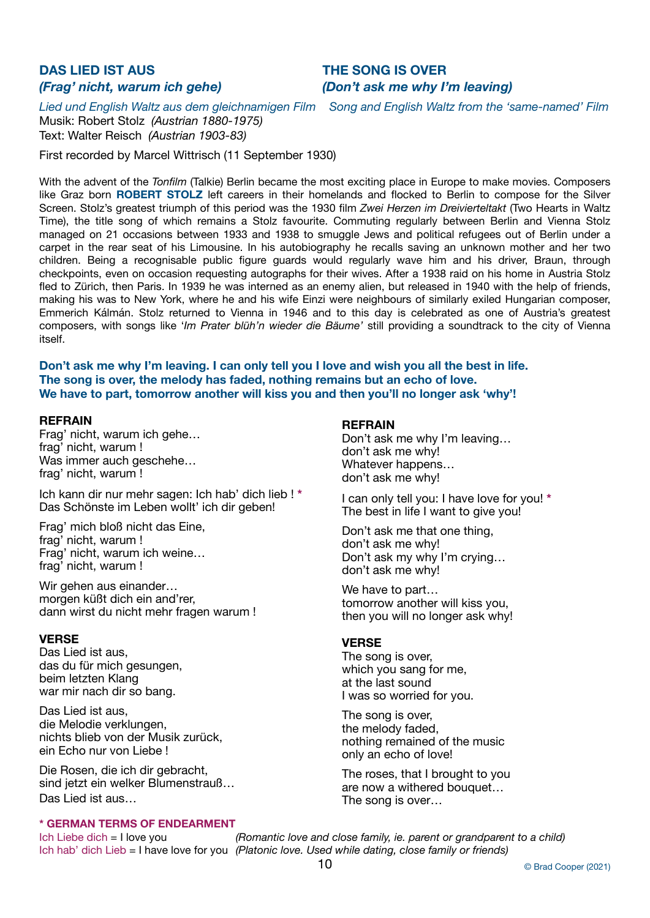# **DAS LIED IST AUS THE SONG IS OVER**

# *(Frag' nicht, warum ich gehe)**(Don't ask me why I'm leaving)*

*Lied und English Waltz aus dem gleichnamigen Film Song and English Waltz from the 'same-named' Film*

Musik: Robert Stolz *(Austrian 1880-1975)* Text: Walter Reisch *(Austrian 1903-83)*

First recorded by Marcel Wittrisch (11 September 1930)

With the advent of the *Tonfilm* (Talkie) Berlin became the most exciting place in Europe to make movies. Composers like Graz born **ROBERT STOLZ** left careers in their homelands and flocked to Berlin to compose for the Silver Screen. Stolz's greatest triumph of this period was the 1930 film *Zwei Herzen im Dreivierteltakt* (Two Hearts in Waltz Time), the title song of which remains a Stolz favourite. Commuting regularly between Berlin and Vienna Stolz managed on 21 occasions between 1933 and 1938 to smuggle Jews and political refugees out of Berlin under a carpet in the rear seat of his Limousine. In his autobiography he recalls saving an unknown mother and her two children. Being a recognisable public figure guards would regularly wave him and his driver, Braun, through checkpoints, even on occasion requesting autographs for their wives. After a 1938 raid on his home in Austria Stolz fled to Zürich, then Paris. In 1939 he was interned as an enemy alien, but released in 1940 with the help of friends, making his was to New York, where he and his wife Einzi were neighbours of similarly exiled Hungarian composer, Emmerich Kálmán. Stolz returned to Vienna in 1946 and to this day is celebrated as one of Austria's greatest composers, with songs like '*Im Prater blüh'n wieder die Bäume'* still providing a soundtrack to the city of Vienna itself.

**Don't ask me why I'm leaving. I can only tell you I love and wish you all the best in life. The song is over, the melody has faded, nothing remains but an echo of love. We have to part, tomorrow another will kiss you and then you'll no longer ask 'why'!**

## **REFRAIN**

Frag' nicht, warum ich gehe… frag' nicht, warum ! Was immer auch geschehe... frag' nicht, warum !

Ich kann dir nur mehr sagen: Ich hab' dich lieb ! **\*** Das Schönste im Leben wollt' ich dir geben!

Frag' mich bloß nicht das Eine, frag' nicht, warum ! Frag' nicht, warum ich weine… frag' nicht, warum !

Wir gehen aus einander… morgen küßt dich ein and'rer, dann wirst du nicht mehr fragen warum !

# **VERSE**

Das Lied ist aus, das du für mich gesungen, beim letzten Klang war mir nach dir so bang.

Das Lied ist aus, die Melodie verklungen, nichts blieb von der Musik zurück, ein Echo nur von Liebe !

Die Rosen, die ich dir gebracht, sind jetzt ein welker Blumenstrauß… Das Lied ist aus…

## **\* GERMAN TERMS OF ENDEARMENT**

### **REFRAIN**

Don't ask me why I'm leaving… don't ask me why! Whatever happens… don't ask me why!

I can only tell you: I have love for you! **\*** The best in life I want to give you!

Don't ask me that one thing, don't ask me why! Don't ask my why I'm crying… don't ask me why!

We have to part… tomorrow another will kiss you, then you will no longer ask why!

# **VERSE**

The song is over, which you sang for me, at the last sound I was so worried for you.

The song is over, the melody faded, nothing remained of the music only an echo of love!

The roses, that I brought to you are now a withered bouquet… The song is over…

Ich Liebe dich = I love you *(Romantic love and close family, ie. parent or grandparent to a child)* Ich hab' dich Lieb = I have love for you *(Platonic love. Used while dating, close family or friends)*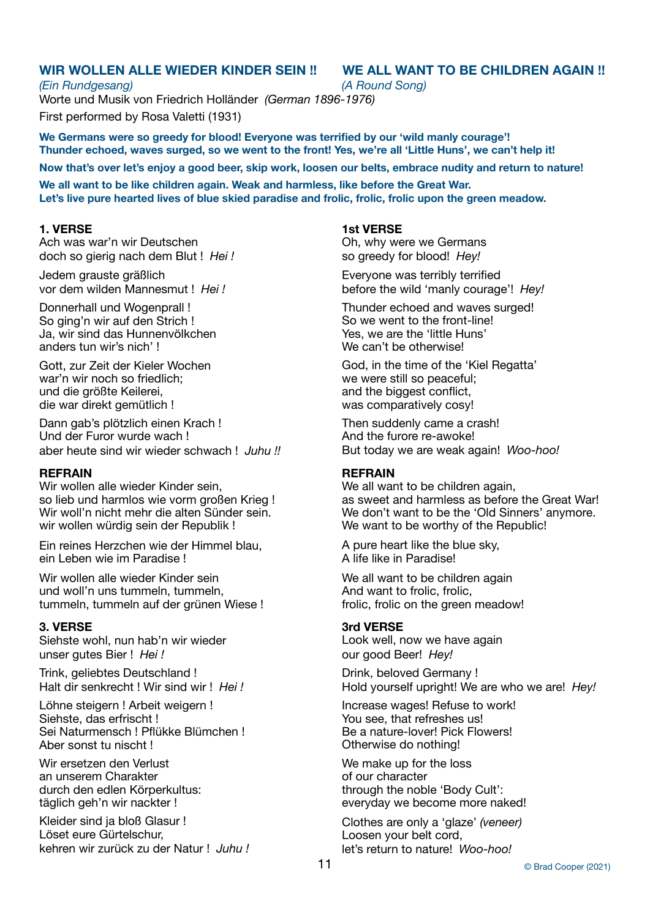# **WIR WOLLEN ALLE WIEDER KINDER SEIN !! WE ALL WANT TO BE CHILDREN AGAIN !!**

# *(Ein Rundgesang) (A Round Song)* Worte und Musik von Friedrich Holländer *(German 1896-1976)*  First performed by Rosa Valetti (1931)

**We Germans were so greedy for blood! Everyone was terrified by our 'wild manly courage'! Thunder echoed, waves surged, so we went to the front! Yes, we're all 'Little Huns', we can't help it!** 

**Now that's over let's enjoy a good beer, skip work, loosen our belts, embrace nudity and return to nature!** 

**We all want to be like children again. Weak and harmless, like before the Great War. Let's live pure hearted lives of blue skied paradise and frolic, frolic, frolic upon the green meadow.**

# **1. VERSE**

Ach was war'n wir Deutschen doch so gierig nach dem Blut ! *Hei !*

Jedem grauste gräßlich vor dem wilden Mannesmut ! *Hei !*

Donnerhall und Wogenprall ! So ging'n wir auf den Strich ! Ja, wir sind das Hunnenvölkchen anders tun wir's nich' !

Gott, zur Zeit der Kieler Wochen war'n wir noch so friedlich; und die größte Keilerei, die war direkt gemütlich !

Dann gab's plötzlich einen Krach ! Und der Furor wurde wach ! aber heute sind wir wieder schwach ! *Juhu !!*

# **REFRAIN**

Wir wollen alle wieder Kinder sein, so lieb und harmlos wie vorm großen Krieg ! Wir woll'n nicht mehr die alten Sünder sein. wir wollen würdig sein der Republik !

Ein reines Herzchen wie der Himmel blau, ein Leben wie im Paradise !

Wir wollen alle wieder Kinder sein und woll'n uns tummeln, tummeln, tummeln, tummeln auf der grünen Wiese !

# **3. VERSE**

Siehste wohl, nun hab'n wir wieder unser gutes Bier ! *Hei !*

Trink, geliebtes Deutschland ! Halt dir senkrecht ! Wir sind wir ! *Hei !*

Löhne steigern ! Arbeit weigern ! Siehste, das erfrischt ! Sei Naturmensch ! Pflükke Blümchen ! Aber sonst tu nischt !

Wir ersetzen den Verlust an unserem Charakter durch den edlen Körperkultus: täglich geh'n wir nackter !

Kleider sind ja bloß Glasur ! Löset eure Gürtelschur, kehren wir zurück zu der Natur ! *Juhu !*

### **1st VERSE**

Oh, why were we Germans so greedy for blood! *Hey!* 

Everyone was terribly terrified before the wild 'manly courage'! *Hey!* 

Thunder echoed and waves surged! So we went to the front-line! Yes, we are the 'little Huns' We can't be otherwise!

God, in the time of the 'Kiel Regatta' we were still so peaceful; and the biggest conflict, was comparatively cosy!

Then suddenly came a crash! And the furore re-awoke! But today we are weak again! *Woo-hoo!* 

# **REFRAIN**

We all want to be children again. as sweet and harmless as before the Great War! We don't want to be the 'Old Sinners' anymore. We want to be worthy of the Republic!

A pure heart like the blue sky, A life like in Paradise!

We all want to be children again And want to frolic, frolic, frolic, frolic on the green meadow!

# **3rd VERSE**

Look well, now we have again our good Beer! *Hey!*

Drink, beloved Germany ! Hold yourself upright! We are who we are! *Hey!*

Increase wages! Refuse to work! You see, that refreshes us! Be a nature-lover! Pick Flowers! Otherwise do nothing!

We make up for the loss of our character through the noble 'Body Cult': everyday we become more naked!

Clothes are only a 'glaze' *(veneer)* Loosen your belt cord, let's return to nature! *Woo-hoo!*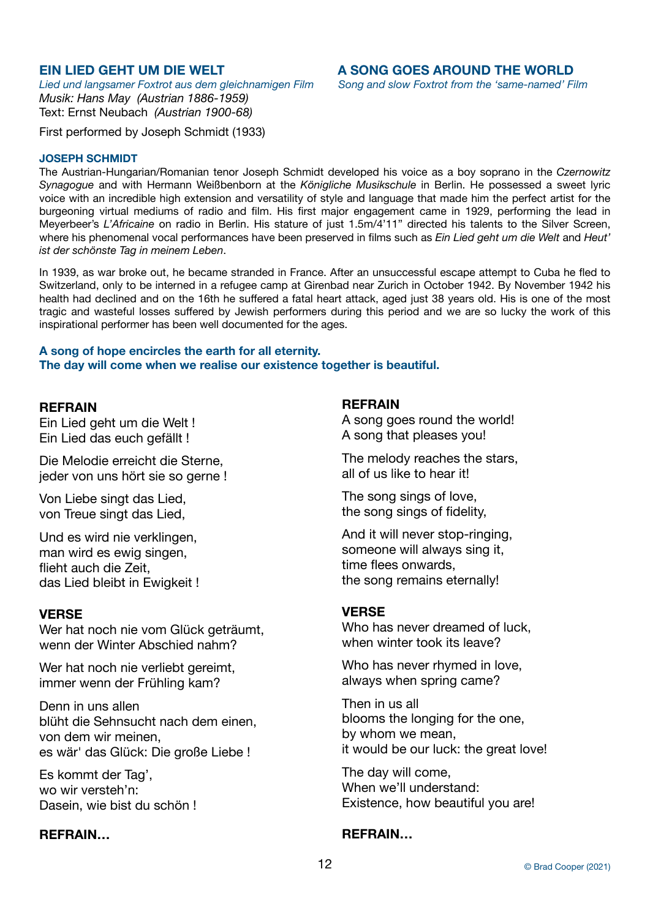*Lied und langsamer Foxtrot aus dem gleichnamigen Film Song and slow Foxtrot from the 'same-named' Film Musik: Hans May (Austrian 1886-1959)*  Text: Ernst Neubach *(Austrian 1900-68)*

# **EIN LIED GEHT UM DIE WELT A SONG GOES AROUND THE WORLD**

First performed by Joseph Schmidt (1933)

# **JOSEPH SCHMIDT**

The Austrian-Hungarian/Romanian tenor Joseph Schmidt developed his voice as a boy soprano in the *Czernowitz Synagogue* and with Hermann Weißbenborn at the *Königliche Musikschule* in Berlin. He possessed a sweet lyric voice with an incredible high extension and versatility of style and language that made him the perfect artist for the burgeoning virtual mediums of radio and film. His first major engagement came in 1929, performing the lead in Meyerbeer's *L'Africaine* on radio in Berlin. His stature of just 1.5m/4'11" directed his talents to the Silver Screen, where his phenomenal vocal performances have been preserved in films such as *Ein Lied geht um die Welt* and *Heut' ist der schönste Tag in meinem Leben*.

In 1939, as war broke out, he became stranded in France. After an unsuccessful escape attempt to Cuba he fled to Switzerland, only to be interned in a refugee camp at Girenbad near Zurich in October 1942. By November 1942 his health had declined and on the 16th he suffered a fatal heart attack, aged just 38 years old. His is one of the most tragic and wasteful losses suffered by Jewish performers during this period and we are so lucky the work of this inspirational performer has been well documented for the ages.

# **A song of hope encircles the earth for all eternity. The day will come when we realise our existence together is beautiful.**

# **REFRAIN**

Ein Lied geht um die Welt ! Ein Lied das euch gefällt !

Die Melodie erreicht die Sterne, jeder von uns hört sie so gerne !

Von Liebe singt das Lied, von Treue singt das Lied,

Und es wird nie verklingen, man wird es ewig singen, flieht auch die Zeit, das Lied bleibt in Ewigkeit !

# **VERSE**

Wer hat noch nie vom Glück geträumt, wenn der Winter Abschied nahm?

Wer hat noch nie verliebt gereimt, immer wenn der Frühling kam?

Denn in uns allen blüht die Sehnsucht nach dem einen, von dem wir meinen, es wär' das Glück: Die große Liebe !

Es kommt der Tag', wo wir versteh'n: Dasein, wie bist du schön !

# **REFRAIN…**

# **REFRAIN**

A song goes round the world! A song that pleases you!

The melody reaches the stars, all of us like to hear it!

The song sings of love, the song sings of fidelity,

And it will never stop-ringing, someone will always sing it, time flees onwards, the song remains eternally!

# **VERSE**

Who has never dreamed of luck. when winter took its leave?

Who has never rhymed in love, always when spring came?

Then in us all blooms the longing for the one, by whom we mean, it would be our luck: the great love!

The day will come, When we'll understand: Existence, how beautiful you are!

# **REFRAIN…**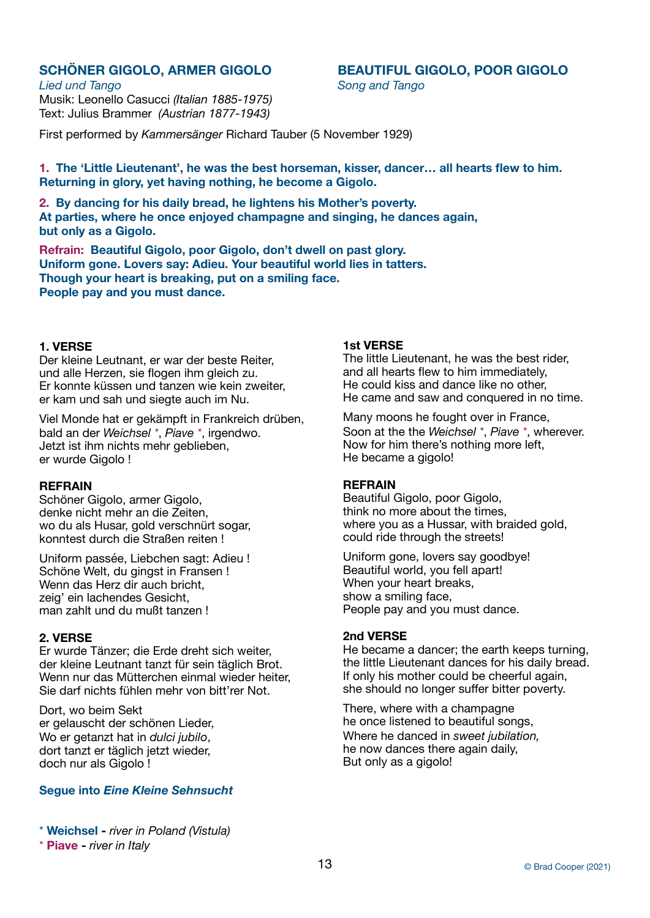**SCHÖNER GIGOLO, ARMER GIGOLO BEAUTIFUL GIGOLO, POOR GIGOLO**

*Lied und Tango* Song and Tango Musik: Leonello Casucci *(Italian 1885-1975)* Text: Julius Brammer *(Austrian 1877-1943)*

First performed by *Kammersänger* Richard Tauber (5 November 1929)

**1. The 'Little Lieutenant', he was the best horseman, kisser, dancer… all hearts flew to him. Returning in glory, yet having nothing, he become a Gigolo.** 

**2. By dancing for his daily bread, he lightens his Mother's poverty. At parties, where he once enjoyed champagne and singing, he dances again, but only as a Gigolo.** 

**Refrain: Beautiful Gigolo, poor Gigolo, don't dwell on past glory. Uniform gone. Lovers say: Adieu. Your beautiful world lies in tatters. Though your heart is breaking, put on a smiling face. People pay and you must dance.** 

# **1. VERSE**

Der kleine Leutnant, er war der beste Reiter, und alle Herzen, sie flogen ihm gleich zu. Er konnte küssen und tanzen wie kein zweiter, er kam und sah und siegte auch im Nu.

Viel Monde hat er gekämpft in Frankreich drüben, bald an der *Weichsel \**, *Piave \**, irgendwo. Jetzt ist ihm nichts mehr geblieben, er wurde Gigolo !

# **REFRAIN**

Schöner Gigolo, armer Gigolo, denke nicht mehr an die Zeiten, wo du als Husar, gold verschnürt sogar, konntest durch die Straßen reiten !

Uniform passée, Liebchen sagt: Adieu ! Schöne Welt, du gingst in Fransen ! Wenn das Herz dir auch bricht. zeig' ein lachendes Gesicht, man zahlt und du mußt tanzen !

# **2. VERSE**

Er wurde Tänzer; die Erde dreht sich weiter, der kleine Leutnant tanzt für sein täglich Brot. Wenn nur das Mütterchen einmal wieder heiter, Sie darf nichts fühlen mehr von bitt'rer Not.

Dort, wo beim Sekt er gelauscht der schönen Lieder, Wo er getanzt hat in *dulci jubilo*, dort tanzt er täglich jetzt wieder, doch nur als Gigolo !

# **Segue into** *Eine Kleine Sehnsucht*

\* **Weichsel -** *river in Poland (Vistula)*

# \* **Piave -** *river in Italy*

# **1st VERSE**

The little Lieutenant, he was the best rider, and all hearts flew to him immediately, He could kiss and dance like no other, He came and saw and conquered in no time.

Many moons he fought over in France, Soon at the the *Weichsel \**, *Piave \**, wherever. Now for him there's nothing more left, He became a gigolo!

# **REFRAIN**

Beautiful Gigolo, poor Gigolo, think no more about the times, where you as a Hussar, with braided gold, could ride through the streets!

Uniform gone, lovers say goodbye! Beautiful world, you fell apart! When your heart breaks, show a smiling face, People pay and you must dance.

# **2nd VERSE**

He became a dancer; the earth keeps turning, the little Lieutenant dances for his daily bread. If only his mother could be cheerful again, she should no longer suffer bitter poverty.

There, where with a champagne he once listened to beautiful songs, Where he danced in *sweet jubilation,* he now dances there again daily, But only as a gigolo!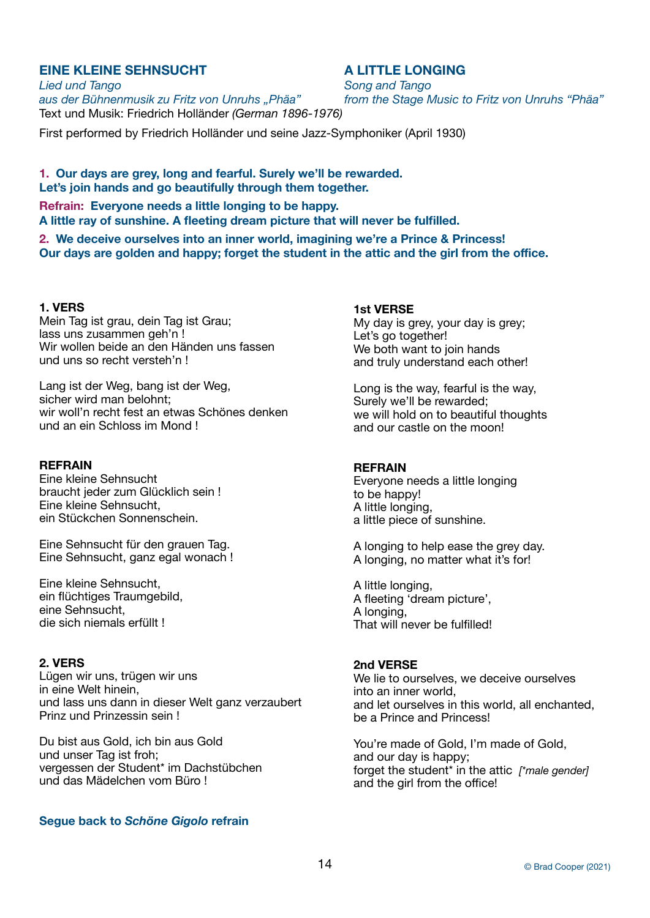# **EINE KLEINE SEHNSUCHT A LITTLE LONGING**

*Lied und Tango Song and Tango aus der Bühnenmusik zu Fritz von Unruhs "Phäa" from the Stage Music to Fritz von Unruhs "Phäa"*  Text und Musik: Friedrich Holländer *(German 1896-1976)*

First performed by Friedrich Holländer und seine Jazz-Symphoniker (April 1930)

**1. Our days are grey, long and fearful. Surely we'll be rewarded. Let's join hands and go beautifully through them together. Refrain: Everyone needs a little longing to be happy. A little ray of sunshine. A fleeting dream picture that will never be fulfilled. 2. We deceive ourselves into an inner world, imagining we're a Prince & Princess!** 

**Our days are golden and happy; forget the student in the attic and the girl from the office.** 

# **1. VERS**

Mein Tag ist grau, dein Tag ist Grau; lass uns zusammen geh'n ! Wir wollen beide an den Händen uns fassen und uns so recht versteh'n !

Lang ist der Weg, bang ist der Weg, sicher wird man belohnt; wir woll'n recht fest an etwas Schönes denken und an ein Schloss im Mond !

# **REFRAIN**

Eine kleine Sehnsucht braucht jeder zum Glücklich sein ! Eine kleine Sehnsucht, ein Stückchen Sonnenschein.

Eine Sehnsucht für den grauen Tag. Eine Sehnsucht, ganz egal wonach !

Eine kleine Sehnsucht, ein flüchtiges Traumgebild, eine Sehnsucht, die sich niemals erfüllt !

# **2. VERS**

Lügen wir uns, trügen wir uns in eine Welt hinein, und lass uns dann in dieser Welt ganz verzaubert Prinz und Prinzessin sein !

Du bist aus Gold, ich bin aus Gold und unser Tag ist froh; vergessen der Student\* im Dachstübchen und das Mädelchen vom Büro !

# **Segue back to** *Schöne Gigolo* **refrain**

# **1st VERSE**

My day is grey, your day is grey; Let's go together! We both want to join hands and truly understand each other!

Long is the way, fearful is the way, Surely we'll be rewarded; we will hold on to beautiful thoughts and our castle on the moon!

# **REFRAIN**

Everyone needs a little longing to be happy! A little longing, a little piece of sunshine.

A longing to help ease the grey day. A longing, no matter what it's for!

A little longing, A fleeting 'dream picture', A longing, That will never be fulfilled!

# **2nd VERSE**

We lie to ourselves, we deceive ourselves into an inner world, and let ourselves in this world, all enchanted, be a Prince and Princess!

You're made of Gold, I'm made of Gold, and our day is happy; forget the student\* in the attic *[\*male gender]* and the girl from the office!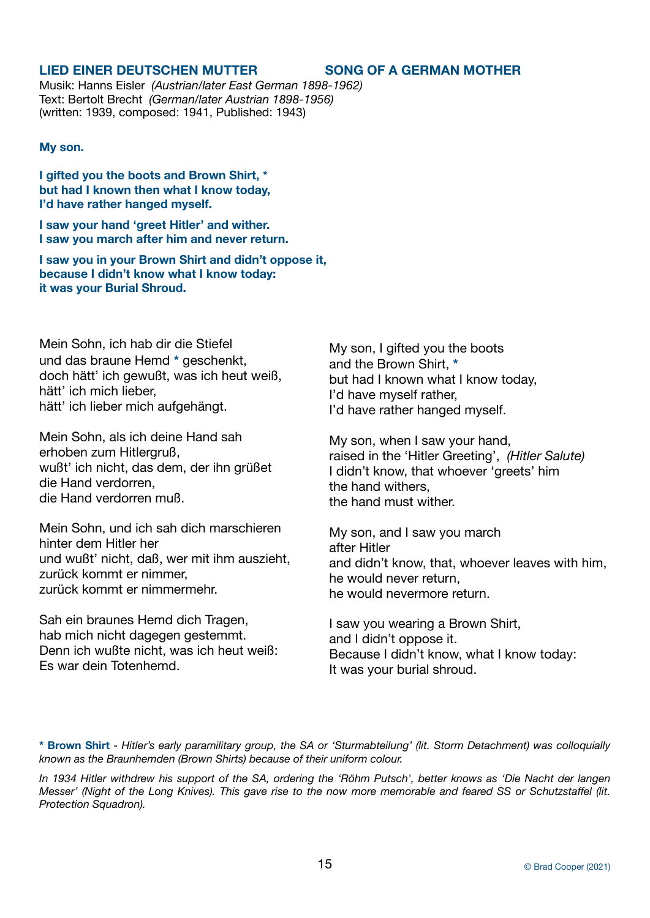# **LIED EINER DEUTSCHEN MUTTER SONG OF A GERMAN MOTHER**

Musik: Hanns Eisler *(Austrian/later East German 1898-1962)* Text: Bertolt Brecht *(German/later Austrian 1898-1956)* (written: 1939, composed: 1941, Published: 1943)

# **My son.**

**I gifted you the boots and Brown Shirt, \* but had I known then what I know today, I'd have rather hanged myself.** 

**I saw your hand 'greet Hitler' and wither. I saw you march after him and never return.** 

**I saw you in your Brown Shirt and didn't oppose it, because I didn't know what I know today: it was your Burial Shroud.**

Mein Sohn, ich hab dir die Stiefel und das braune Hemd **\*** geschenkt, doch hätt' ich gewußt, was ich heut weiß, hätt' ich mich lieber, hätt' ich lieber mich aufgehängt.

Mein Sohn, als ich deine Hand sah erhoben zum Hitlergruß, wußt' ich nicht, das dem, der ihn grüßet die Hand verdorren, die Hand verdorren muß.

Mein Sohn, und ich sah dich marschieren hinter dem Hitler her und wußt' nicht, daß, wer mit ihm auszieht, zurück kommt er nimmer, zurück kommt er nimmermehr.

Sah ein braunes Hemd dich Tragen, hab mich nicht dagegen gestemmt. Denn ich wußte nicht, was ich heut weiß: Es war dein Totenhemd.

My son, I gifted you the boots and the Brown Shirt, **\*** but had I known what I know today, I'd have myself rather, I'd have rather hanged myself.

My son, when I saw your hand, raised in the 'Hitler Greeting', *(Hitler Salute)*  I didn't know, that whoever 'greets' him the hand withers, the hand must wither.

My son, and I saw you march after Hitler and didn't know, that, whoever leaves with him, he would never return, he would nevermore return.

I saw you wearing a Brown Shirt, and I didn't oppose it. Because I didn't know, what I know today: It was your burial shroud.

**\* Brown Shirt** - *Hitler's early paramilitary group, the SA or 'Sturmabteilung' (lit. Storm Detachment) was colloquially known as the Braunhemden (Brown Shirts) because of their uniform colour.* 

*In 1934 Hitler withdrew his support of the SA, ordering the 'Röhm Putsch', better knows as 'Die Nacht der langen Messer' (Night of the Long Knives). This gave rise to the now more memorable and feared SS or Schutzstaffel (lit. Protection Squadron).*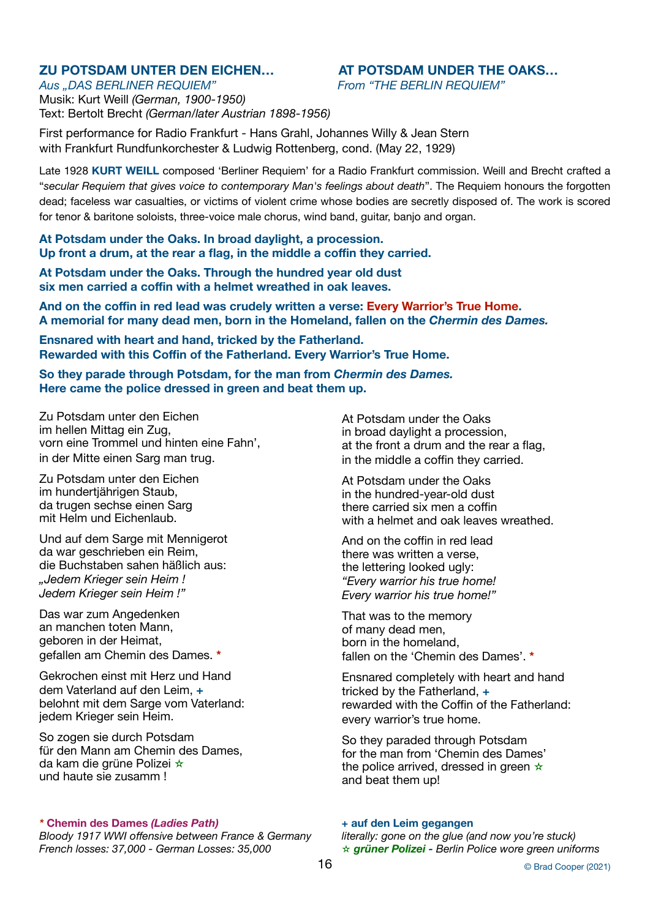# Aus "DAS BERLINER REQUIEM" *From "THE BERLIN REQUIEM"*

# **ZU POTSDAM UNTER DEN EICHEN… AT POTSDAM UNDER THE OAKS…**

Musik: Kurt Weill *(German, 1900-1950)* Text: Bertolt Brecht *(German/later Austrian 1898-1956)*

First performance for Radio Frankfurt - Hans Grahl, Johannes Willy & Jean Stern with Frankfurt Rundfunkorchester & Ludwig Rottenberg, cond. (May 22, 1929)

Late 1928 **KURT WEILL** composed 'Berliner Requiem' for a Radio Frankfurt commission. Weill and Brecht crafted a "*secular Requiem that gives voice to contemporary Man's feelings about death*". The Requiem honours the forgotten dead; faceless war casualties, or victims of violent crime whose bodies are secretly disposed of. The work is scored for tenor & baritone soloists, three-voice male chorus, wind band, guitar, banjo and organ.

**At Potsdam under the Oaks. In broad daylight, a procession. Up front a drum, at the rear a flag, in the middle a coffin they carried.** 

**At Potsdam under the Oaks. Through the hundred year old dust six men carried a coffin with a helmet wreathed in oak leaves.** 

**And on the coffin in red lead was crudely written a verse: Every Warrior's True Home. A memorial for many dead men, born in the Homeland, fallen on the** *Chermin des Dames.*

**Ensnared with heart and hand, tricked by the Fatherland. Rewarded with this Coffin of the Fatherland. Every Warrior's True Home.** 

**So they parade through Potsdam, for the man from** *Chermin des Dames.* **Here came the police dressed in green and beat them up.**

Zu Potsdam unter den Eichen im hellen Mittag ein Zug, vorn eine Trommel und hinten eine Fahn', in der Mitte einen Sarg man trug.

Zu Potsdam unter den Eichen im hundertjährigen Staub, da trugen sechse einen Sarg mit Helm und Eichenlaub.

Und auf dem Sarge mit Mennigerot da war geschrieben ein Reim, die Buchstaben sahen häßlich aus: *"Jedem Krieger sein Heim ! Jedem Krieger sein Heim !"* 

Das war zum Angedenken an manchen toten Mann, geboren in der Heimat, gefallen am Chemin des Dames. **\***

Gekrochen einst mit Herz und Hand dem Vaterland auf den Leim, **+** belohnt mit dem Sarge vom Vaterland: jedem Krieger sein Heim.

So zogen sie durch Potsdam für den Mann am Chemin des Dames, da kam die grüne Polizei  $\star$ und haute sie zusamm !

# *\** **Chemin des Dames** *(Ladies Path) +* **auf den Leim gegangen**

*Bloody 1917 WWI offensive between France & Germany literally: gone on the glue (and now you're stuck) French losses: 37,000 - German Losses: 35,000* ✫ *grüner Polizei - Berlin Police wore green uniforms* 

At Potsdam under the Oaks in broad daylight a procession, at the front a drum and the rear a flag, in the middle a coffin they carried.

At Potsdam under the Oaks in the hundred-year-old dust there carried six men a coffin with a helmet and oak leaves wreathed.

And on the coffin in red lead there was written a verse, the lettering looked ugly: *"Every warrior his true home! Every warrior his true home!"* 

That was to the memory of many dead men, born in the homeland, fallen on the 'Chemin des Dames'. **\***

Ensnared completely with heart and hand tricked by the Fatherland, **+** rewarded with the Coffin of the Fatherland: every warrior's true home.

So they paraded through Potsdam for the man from 'Chemin des Dames' the police arrived, dressed in green  $\star$ and beat them up!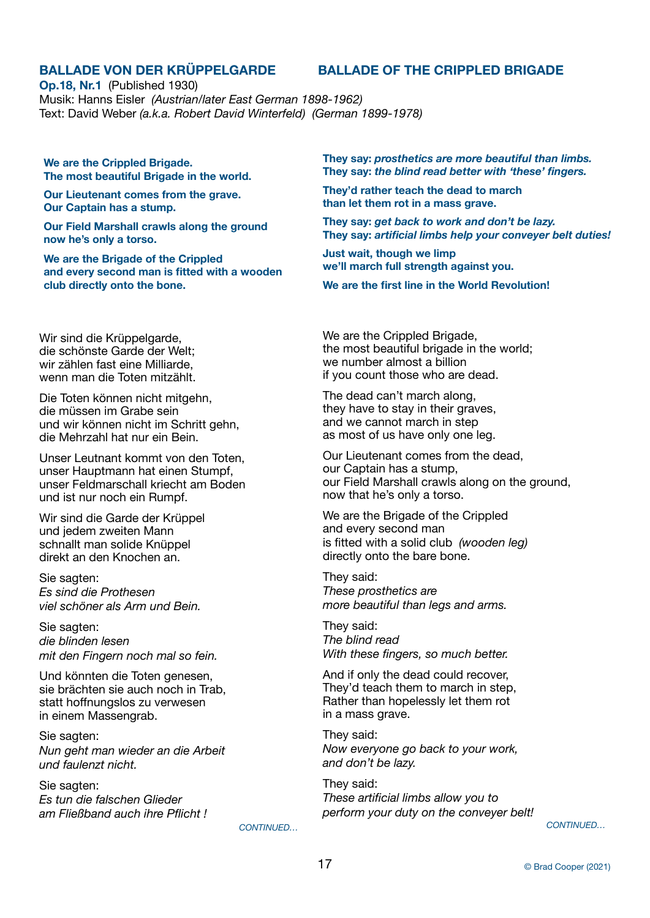**Op.18, Nr.1** (Published 1930) Musik: Hanns Eisler *(Austrian/later East German 1898-1962)* Text: David Weber *(a.k.a. Robert David Winterfeld) (German 1899-1978)* 

**We are the Crippled Brigade. The most beautiful Brigade in the world.** 

**Our Lieutenant comes from the grave. Our Captain has a stump.** 

**Our Field Marshall crawls along the ground now he's only a torso.** 

**We are the Brigade of the Crippled and every second man is fitted with a wooden club directly onto the bone.** 

Wir sind die Krüppelgarde, die schönste Garde der Welt; wir zählen fast eine Milliarde, wenn man die Toten mitzählt.

Die Toten können nicht mitgehn, die müssen im Grabe sein und wir können nicht im Schritt gehn, die Mehrzahl hat nur ein Bein.

Unser Leutnant kommt von den Toten, unser Hauptmann hat einen Stumpf, unser Feldmarschall kriecht am Boden und ist nur noch ein Rumpf.

Wir sind die Garde der Krüppel und jedem zweiten Mann schnallt man solide Knüppel direkt an den Knochen an.

Sie sagten: *Es sind die Prothesen viel schöner als Arm und Bein.* 

Sie sagten: *die blinden lesen mit den Fingern noch mal so fein.*

Und könnten die Toten genesen, sie brächten sie auch noch in Trab, statt hoffnungslos zu verwesen in einem Massengrab.

Sie sagten: *Nun geht man wieder an die Arbeit und faulenzt nicht.*

Sie sagten: *Es tun die falschen Glieder am Fließband auch ihre Pflicht !*  **They say:** *prosthetics are more beautiful than limbs.* **They say:** *the blind read better with 'these' fingers.*

**They'd rather teach the dead to march than let them rot in a mass grave.** 

**They say:** *get back to work and don't be lazy.* **They say:** *artificial limbs help your conveyer belt duties!*

**Just wait, though we limp we'll march full strength against you.** 

**We are the first line in the World Revolution!** 

We are the Crippled Brigade, the most beautiful brigade in the world; we number almost a billion if you count those who are dead.

The dead can't march along, they have to stay in their graves, and we cannot march in step as most of us have only one leg.

Our Lieutenant comes from the dead, our Captain has a stump, our Field Marshall crawls along on the ground, now that he's only a torso.

We are the Brigade of the Crippled and every second man is fitted with a solid club *(wooden leg)* directly onto the bare bone.

They said: *These prosthetics are more beautiful than legs and arms.* 

They said: *The blind read With these fingers, so much better.*

And if only the dead could recover, They'd teach them to march in step, Rather than hopelessly let them rot in a mass grave.

They said: *Now everyone go back to your work, and don't be lazy.* 

They said: *These artificial limbs allow you to perform your duty on the conveyer belt!*

 *CONTINUED…*

 *CONTINUED…*

# **BALLADE VON DER KRÜPPELGARDE BALLADE OF THE CRIPPLED BRIGADE**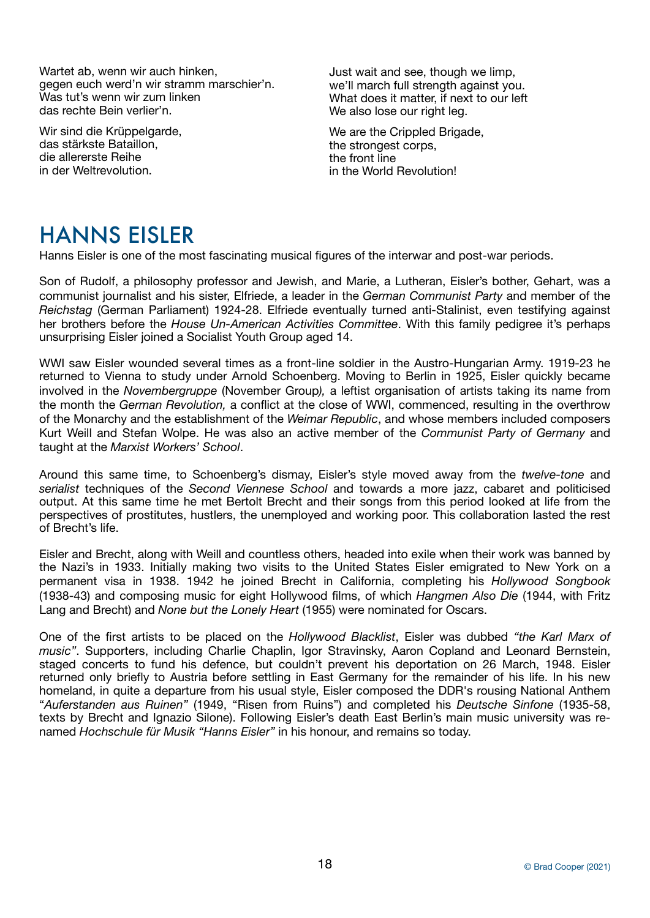Wartet ab, wenn wir auch hinken, gegen euch werd'n wir stramm marschier'n. Was tut's wenn wir zum linken das rechte Bein verlier'n.

Wir sind die Krüppelgarde, das stärkste Bataillon, die allererste Reihe in der Weltrevolution.

Just wait and see, though we limp, we'll march full strength against you. What does it matter, if next to our left We also lose our right leg.

We are the Crippled Brigade, the strongest corps, the front line in the World Revolution!

# HANNS EISLER

Hanns Eisler is one of the most fascinating musical figures of the interwar and post-war periods.

Son of Rudolf, a philosophy professor and Jewish, and Marie, a Lutheran, Eisler's bother, Gehart, was a communist journalist and his sister, Elfriede, a leader in the *German Communist Party* and member of the *Reichstag* (German Parliament) 1924-28. Elfriede eventually turned anti-Stalinist, even testifying against her brothers before the *House Un-American Activities Committee*. With this family pedigree it's perhaps unsurprising Eisler joined a Socialist Youth Group aged 14.

WWI saw Eisler wounded several times as a front-line soldier in the Austro-Hungarian Army. 1919-23 he returned to Vienna to study under Arnold Schoenberg. Moving to Berlin in 1925, Eisler quickly became involved in the *Novembergruppe* (November Group*),* a leftist organisation of artists taking its name from the month the *German Revolution,* a conflict at the close of WWI, commenced, resulting in the overthrow of the Monarchy and the establishment of the *Weimar Republic*, and whose members included composers Kurt Weill and Stefan Wolpe. He was also an active member of the *Communist Party of Germany* and taught at the *Marxist Workers' School*.

Around this same time, to Schoenberg's dismay, Eisler's style moved away from the *twelve-tone* and *serialist* techniques of the *Second Viennese School* and towards a more jazz, cabaret and politicised output. At this same time he met Bertolt Brecht and their songs from this period looked at life from the perspectives of prostitutes, hustlers, the unemployed and working poor. This collaboration lasted the rest of Brecht's life.

Eisler and Brecht, along with Weill and countless others, headed into exile when their work was banned by the Nazi's in 1933. Initially making two visits to the United States Eisler emigrated to New York on a permanent visa in 1938. 1942 he joined Brecht in California, completing his *Hollywood Songbook* (1938-43) and composing music for eight Hollywood films, of which *Hangmen Also Die* (1944, with Fritz Lang and Brecht) and *None but the Lonely Heart* (1955) were nominated for Oscars.

One of the first artists to be placed on the *Hollywood Blacklist*, Eisler was dubbed *"the Karl Marx of music"*. Supporters, including Charlie Chaplin, Igor Stravinsky, Aaron Copland and Leonard Bernstein, staged concerts to fund his defence, but couldn't prevent his deportation on 26 March, 1948. Eisler returned only briefly to Austria before settling in East Germany for the remainder of his life. In his new homeland, in quite a departure from his usual style, Eisler composed the DDR's rousing National Anthem "*Auferstanden aus Ruinen"* (1949, "Risen from Ruins") and completed his *Deutsche Sinfone* (1935-58, texts by Brecht and Ignazio Silone). Following Eisler's death East Berlin's main music university was renamed *Hochschule für Musik "Hanns Eisler"* in his honour, and remains so today.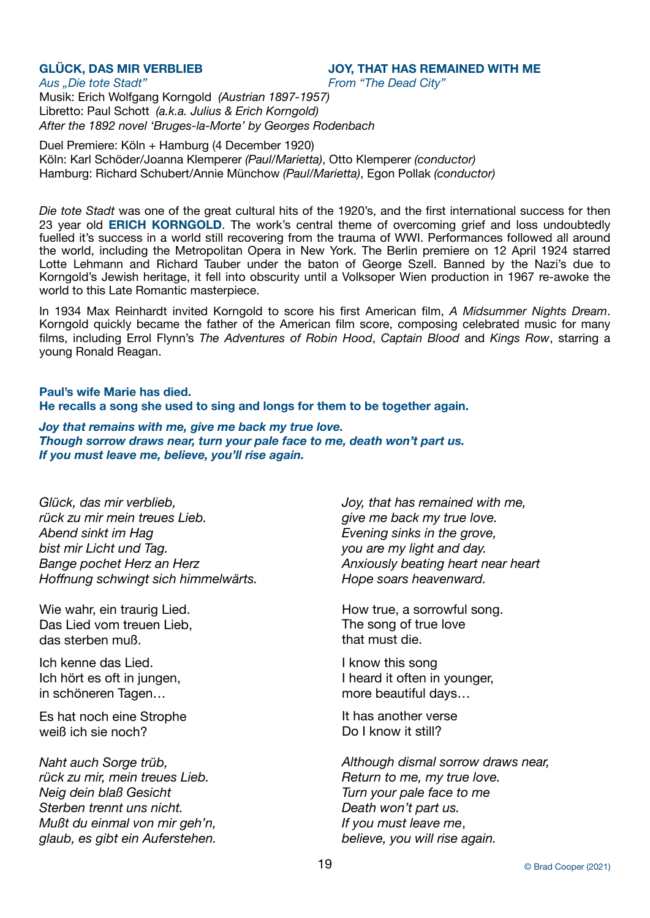**GLÜCK, DAS MIR VERBLIEB JOY, THAT HAS REMAINED WITH ME** 

Aus "Die tote Stadt" *Aus "Die tote Stadt" <i>Aus .Die tote Stadt" Prom "The Dead City"* 

Musik: Erich Wolfgang Korngold *(Austrian 1897-1957)* Libretto: Paul Schott *(a.k.a. Julius & Erich Korngold) After the 1892 novel 'Bruges-la-Morte' by Georges Rodenbach* 

Duel Premiere: Köln + Hamburg (4 December 1920) Köln: Karl Schöder/Joanna Klemperer *(Paul/Marietta)*, Otto Klemperer *(conductor)*  Hamburg: Richard Schubert/Annie Münchow *(Paul/Marietta)*, Egon Pollak *(conductor)* 

*Die tote Stadt* was one of the great cultural hits of the 1920's, and the first international success for then 23 year old **ERICH KORNGOLD**. The work's central theme of overcoming grief and loss undoubtedly fuelled it's success in a world still recovering from the trauma of WWI. Performances followed all around the world, including the Metropolitan Opera in New York. The Berlin premiere on 12 April 1924 starred Lotte Lehmann and Richard Tauber under the baton of George Szell. Banned by the Nazi's due to Korngold's Jewish heritage, it fell into obscurity until a Volksoper Wien production in 1967 re-awoke the world to this Late Romantic masterpiece.

In 1934 Max Reinhardt invited Korngold to score his first American film, *A Midsummer Nights Dream*. Korngold quickly became the father of the American film score, composing celebrated music for many films, including Errol Flynn's *The Adventures of Robin Hood*, *Captain Blood* and *Kings Row*, starring a young Ronald Reagan.

# **Paul's wife Marie has died. He recalls a song she used to sing and longs for them to be together again.**

*Joy that remains with me, give me back my true love. Though sorrow draws near, turn your pale face to me, death won't part us. If you must leave me, believe, you'll rise again.*

*Glück, das mir verblieb, rück zu mir mein treues Lieb. Abend sinkt im Hag bist mir Licht und Tag. Bange pochet Herz an Herz Hoffnung schwingt sich himmelwärts.* 

Wie wahr, ein traurig Lied. Das Lied vom treuen Lieb, das sterben muß.

Ich kenne das Lied. Ich hört es oft in jungen, in schöneren Tagen…

Es hat noch eine Strophe weiß ich sie noch?

*Naht auch Sorge trüb, rück zu mir, mein treues Lieb. Neig dein blaß Gesicht Sterben trennt uns nicht. Mußt du einmal von mir geh'n, glaub, es gibt ein Auferstehen.*

*Joy, that has remained with me, give me back my true love. Evening sinks in the grove, you are my light and day. Anxiously beating heart near heart Hope soars heavenward.*

How true, a sorrowful song. The song of true love that must die.

I know this song I heard it often in younger, more beautiful days…

It has another verse Do I know it still?

*Although dismal sorrow draws near, Return to me, my true love. Turn your pale face to me Death won't part us. If you must leave me*, *believe, you will rise again.*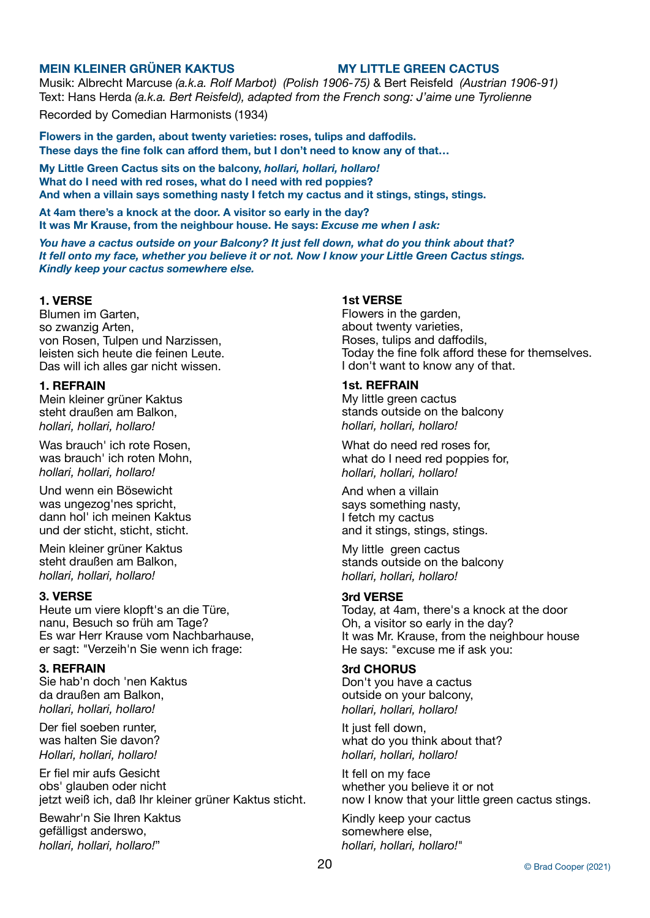# **MEIN KLEINER GRÜNER KAKTUS MY LITTLE GREEN CACTUS**

Musik: Albrecht Marcuse *(a.k.a. Rolf Marbot) (Polish 1906-75)* & Bert Reisfeld *(Austrian 1906-91)* Text: Hans Herda *(a.k.a. Bert Reisfeld), adapted from the French song: J'aime une Tyrolienne* Recorded by Comedian Harmonists (1934)

**Flowers in the garden, about twenty varieties: roses, tulips and daffodils. These days the fine folk can afford them, but I don't need to know any of that…** 

**My Little Green Cactus sits on the balcony,** *hollari, hollari, hollaro!*  **What do I need with red roses, what do I need with red poppies? And when a villain says something nasty I fetch my cactus and it stings, stings, stings.** 

**At 4am there's a knock at the door. A visitor so early in the day? It was Mr Krause, from the neighbour house. He says:** *Excuse me when I ask:*

*You have a cactus outside on your Balcony? It just fell down, what do you think about that? It fell onto my face, whether you believe it or not. Now I know your Little Green Cactus stings. Kindly keep your cactus somewhere else.*

# **1. VERSE**

Blumen im Garten, so zwanzig Arten, von Rosen, Tulpen und Narzissen, leisten sich heute die feinen Leute. Das will ich alles gar nicht wissen.

# **1. REFRAIN**

Mein kleiner grüner Kaktus steht draußen am Balkon, *hollari, hollari, hollaro!*

Was brauch' ich rote Rosen, was brauch' ich roten Mohn, *hollari, hollari, hollaro!*

Und wenn ein Bösewicht was ungezog'nes spricht, dann hol' ich meinen Kaktus und der sticht, sticht, sticht.

Mein kleiner grüner Kaktus steht draußen am Balkon, *hollari, hollari, hollaro!*

## **3. VERSE**

Heute um viere klopft's an die Türe, nanu, Besuch so früh am Tage? Es war Herr Krause vom Nachbarhause, er sagt: "Verzeih'n Sie wenn ich frage:

# **3. REFRAIN**

Sie hab'n doch 'nen Kaktus da draußen am Balkon, *hollari, hollari, hollaro!*

Der fiel soeben runter, was halten Sie davon? *Hollari, hollari, hollaro!* 

Er fiel mir aufs Gesicht obs' glauben oder nicht jetzt weiß ich, daß Ihr kleiner grüner Kaktus sticht.

Bewahr'n Sie Ihren Kaktus gefälligst anderswo, *hollari, hollari, hollaro!*"

# **1st VERSE**

Flowers in the garden, about twenty varieties, Roses, tulips and daffodils, Today the fine folk afford these for themselves. I don't want to know any of that.

# **1st. REFRAIN**

My little green cactus stands outside on the balcony *hollari, hollari, hollaro!*

What do need red roses for, what do I need red poppies for, *hollari, hollari, hollaro!*

And when a villain says something nasty, I fetch my cactus and it stings, stings, stings.

My little green cactus stands outside on the balcony *hollari, hollari, hollaro!*

### **3rd VERSE**

Today, at 4am, there's a knock at the door Oh, a visitor so early in the day? It was Mr. Krause, from the neighbour house He says: "excuse me if ask you:

### **3rd CHORUS**

Don't you have a cactus outside on your balcony, *hollari, hollari, hollaro!*

It just fell down, what do you think about that? *hollari, hollari, hollaro!*

It fell on my face whether you believe it or not now I know that your little green cactus stings.

Kindly keep your cactus somewhere else, *hollari, hollari, hollaro!*"